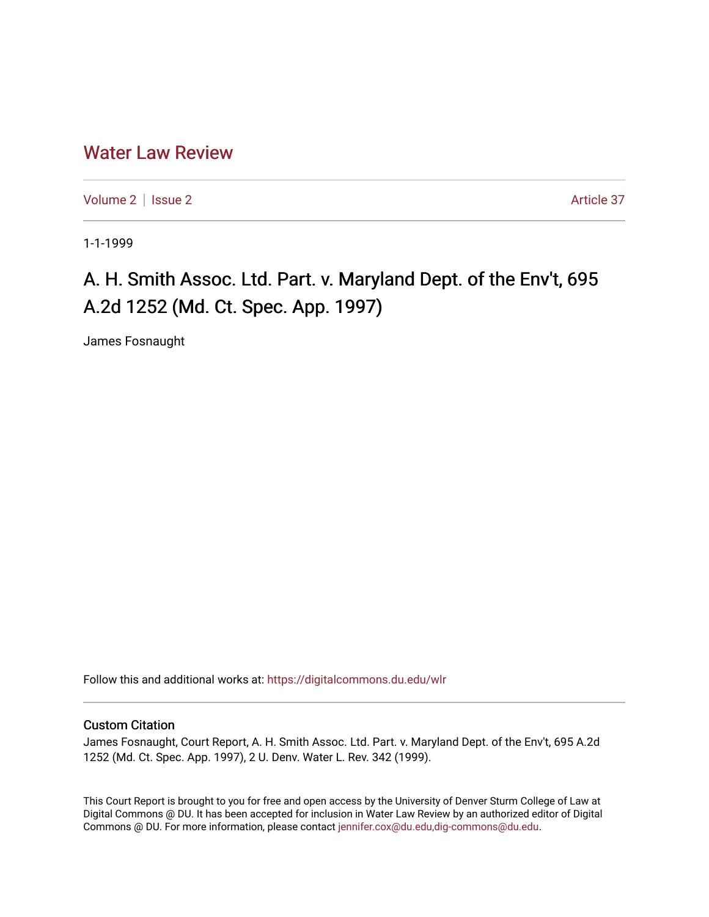## [Water Law Review](https://digitalcommons.du.edu/wlr)

[Volume 2](https://digitalcommons.du.edu/wlr/vol2) | [Issue 2](https://digitalcommons.du.edu/wlr/vol2/iss2) Article 37

1-1-1999

# A. H. Smith Assoc. Ltd. Part. v. Maryland Dept. of the Env't, 695 A.2d 1252 (Md. Ct. Spec. App. 1997)

James Fosnaught

Follow this and additional works at: [https://digitalcommons.du.edu/wlr](https://digitalcommons.du.edu/wlr?utm_source=digitalcommons.du.edu%2Fwlr%2Fvol2%2Fiss2%2F37&utm_medium=PDF&utm_campaign=PDFCoverPages) 

### Custom Citation

James Fosnaught, Court Report, A. H. Smith Assoc. Ltd. Part. v. Maryland Dept. of the Env't, 695 A.2d 1252 (Md. Ct. Spec. App. 1997), 2 U. Denv. Water L. Rev. 342 (1999).

This Court Report is brought to you for free and open access by the University of Denver Sturm College of Law at Digital Commons @ DU. It has been accepted for inclusion in Water Law Review by an authorized editor of Digital Commons @ DU. For more information, please contact [jennifer.cox@du.edu,dig-commons@du.edu.](mailto:jennifer.cox@du.edu,dig-commons@du.edu)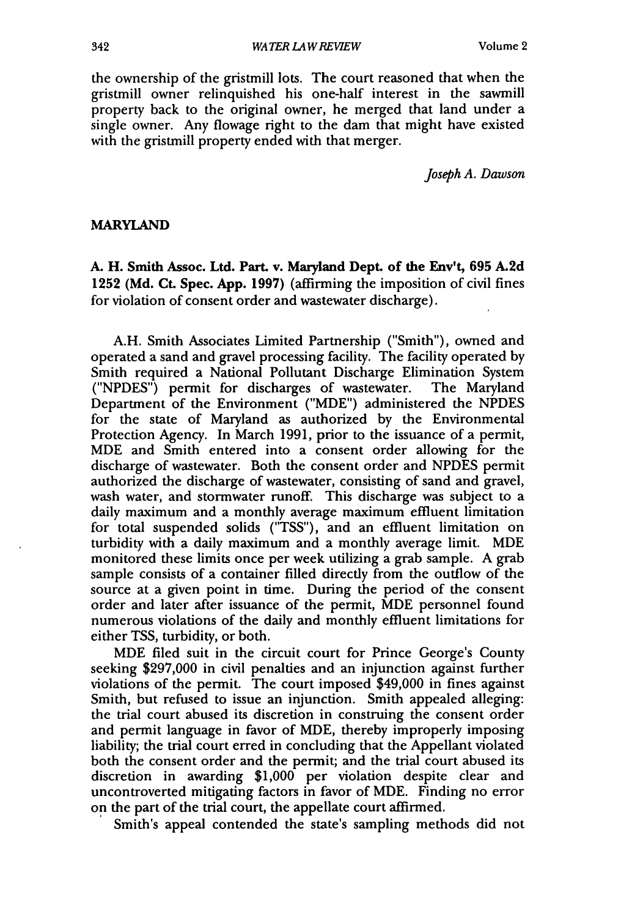the ownership of the gristmill lots. The court reasoned that when the gristmill owner relinquished his one-half interest in the sawmill property back to the original owner, he merged that land under a single owner. Any flowage right to the dam that might have existed with the gristmill property ended with that merger.

*Joseph A. Dawson*

#### MARYLAND

**A.** H. Smith Assoc. **Ltd. Part. v. Maryland Dept. of the Env't, 695 A.2d 1252 (Md.** Ct. Spec. **App. 1997)** (affirming the imposition of civil fines for violation of consent order and wastewater discharge).

**A.H.** Smith Associates Limited Partnership ("Smith"), owned and operated a sand and gravel processing facility. The facility operated **by** Smith required a National Pollutant Discharge Elimination System **("NPDES")** permit for discharges of wastewater. The Maryland Department of the Environment ("MDE") administered the **NPDES** for the state of Maryland as authorized **by** the Environmental Protection Agency. In March **1991,** prior to the issuance of a permit, MDE and Smith entered into a consent order allowing for the discharge of wastewater. Both the consent order and **NPDES** permit authorized the discharge of wastewater, consisting of sand and gravel, wash water, and stormwater runoff. This discharge was subject to a daily maximum and a monthly average maximum effluent limitation for total suspended solids **("TSS"),** and an effluent limitation on turbidity with a daily maximum and a monthly average limit. MDE monitored these limits once per week utilizing a grab sample. A grab sample consists of a container filled directly from the outflow of the source at a given point in time. During the period of the consent order and later after issuance of the permit, MDE personnel found numerous violations of the daily and monthly effluent limitations for either TSS, turbidity, or both.

MDE filed suit in the circuit court for Prince George's County seeking \$297,000 in civil penalties and an injunction against further violations of the permit. The court imposed \$49,000 in fines against Smith, but refused to issue an injunction. Smith appealed alleging: the trial court abused its discretion in construing the consent order and permit language in favor of MDE, thereby improperly imposing liability; the trial court erred in concluding that the Appellant violated both the consent order and the permit; and the trial court abused its discretion in awarding \$1,000 per violation despite clear and uncontroverted mitigating factors in favor of MDE. Finding no error on the part of the trial court, the appellate court affirmed.

Smith's appeal contended the state's sampling methods did not